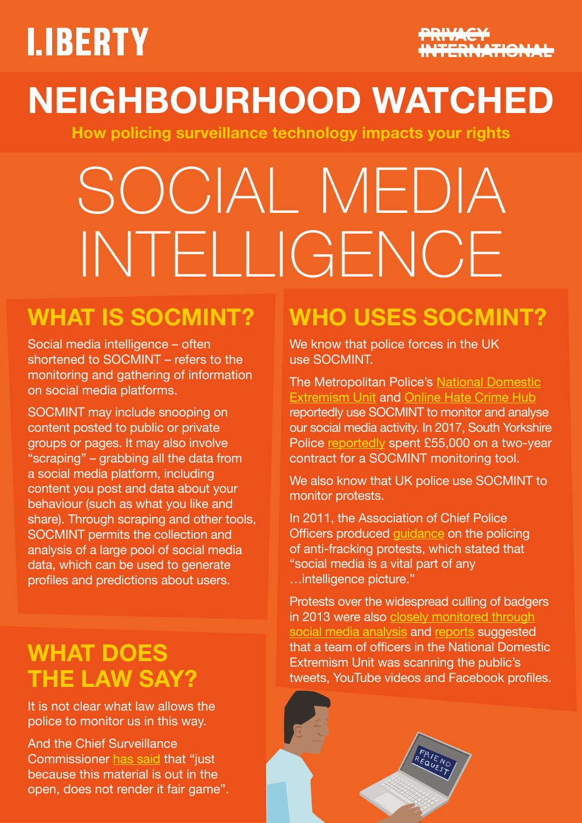# **LIBERTY**



# **NEIGHBOURHOOD WATCHED**

**How policing surveillance technology impacts your rights**

# SOCIAL MEDIA INTELLIGENCE

## **WHAT IS SOCMINT?**

Social media intelligence – often shortened to SOCMINT – refers to the monitoring and gathering of information on social media platforms.

SOCMINT may include snooping on content posted to public or private groups or pages. It may also involve "scraping" – grabbing all the data from a social media platform, including content you post and data about your behaviour (such as what you like and share). Through scraping and other tools, SOCMINT permits the collection and analysis of a large pool of social media data, which can be used to generate profiles and predictions about users.

#### **WHAT DOES THE LAW SAY?**

It is not clear what law allows the police to monitor us in this way.

And the Chief Surveillance Commissioner [has said](https://www.ipco.org.uk/docs/OSC%20Annual%20Report%202014-15.pdf) that "just because this material is out in the open, does not render it fair game".

## **WHO USES SOCMINT?**

We know that police forces in the UK use SOCMINT.

The Metropolitan Police's [National Domestic](https://www.wired.co.uk/article/socmint) [Extremism Unit](https://www.wired.co.uk/article/socmint) and [Online Hate Crime Hub](https://www.wired.co.uk/article/police-online-hate-crime-hub-met-police) reportedly use SOCMINT to monitor and analyse our social media activity. In 2017, South Yorkshire Police [reportedly](https://publictechnology.net/articles/news/south-yorkshire-police-invests-%C2%A355000-social-media-monitoring-technology) spent £55,000 on a two-year contract for a SOCMINT monitoring tool.

We also know that UK police use SOCMINT to monitor protests.

In 2011, the Association of Chief Police Officers produced [guidance](https://netpol.org/wp-content/uploads/2015/08/Onshore-Oil-and-Gas-Operations-2015.pdf) on the policing of anti-fracking protests, which stated that "social media is a vital part of any …intelligence picture."

Protests over the widespread culling of badgers in 2013 were also [closely monitored through](http://www.bbc.co.uk/news/uk-politics-22984367) [social media analysis](http://www.bbc.co.uk/news/uk-politics-22984367) and [reports](http://www.wired.co.uk/article/socmint) suggested that a team of officers in the National Domestic Extremism Unit was scanning the public's tweets, YouTube videos and Facebook profiles.